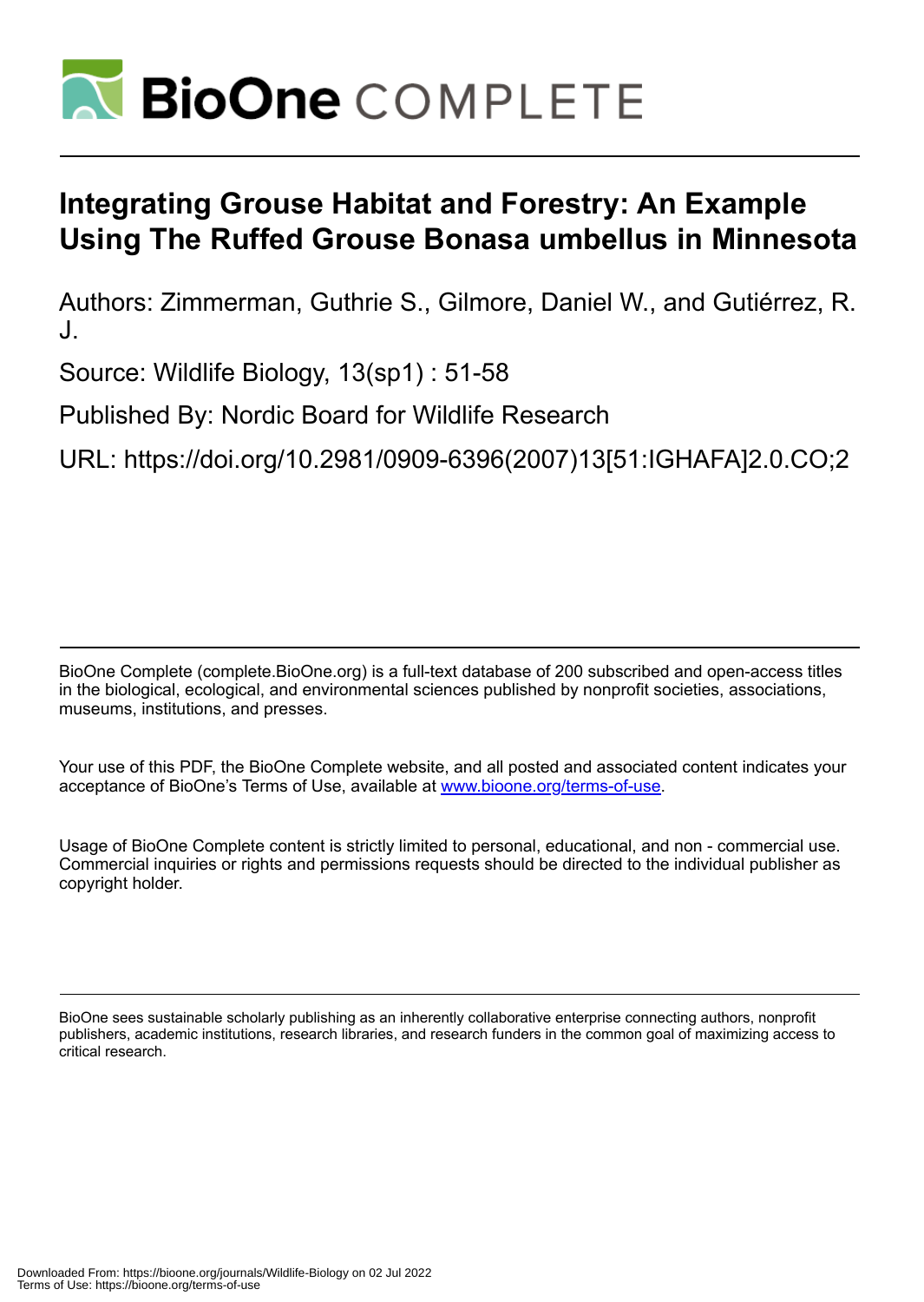

# **Integrating Grouse Habitat and Forestry: An Example Using The Ruffed Grouse Bonasa umbellus in Minnesota**

Authors: Zimmerman, Guthrie S., Gilmore, Daniel W., and Gutiérrez, R. J.

Source: Wildlife Biology, 13(sp1) : 51-58

Published By: Nordic Board for Wildlife Research

URL: https://doi.org/10.2981/0909-6396(2007)13[51:IGHAFA]2.0.CO;2

BioOne Complete (complete.BioOne.org) is a full-text database of 200 subscribed and open-access titles in the biological, ecological, and environmental sciences published by nonprofit societies, associations, museums, institutions, and presses.

Your use of this PDF, the BioOne Complete website, and all posted and associated content indicates your acceptance of BioOne's Terms of Use, available at www.bioone.org/terms-of-use.

Usage of BioOne Complete content is strictly limited to personal, educational, and non - commercial use. Commercial inquiries or rights and permissions requests should be directed to the individual publisher as copyright holder.

BioOne sees sustainable scholarly publishing as an inherently collaborative enterprise connecting authors, nonprofit publishers, academic institutions, research libraries, and research funders in the common goal of maximizing access to critical research.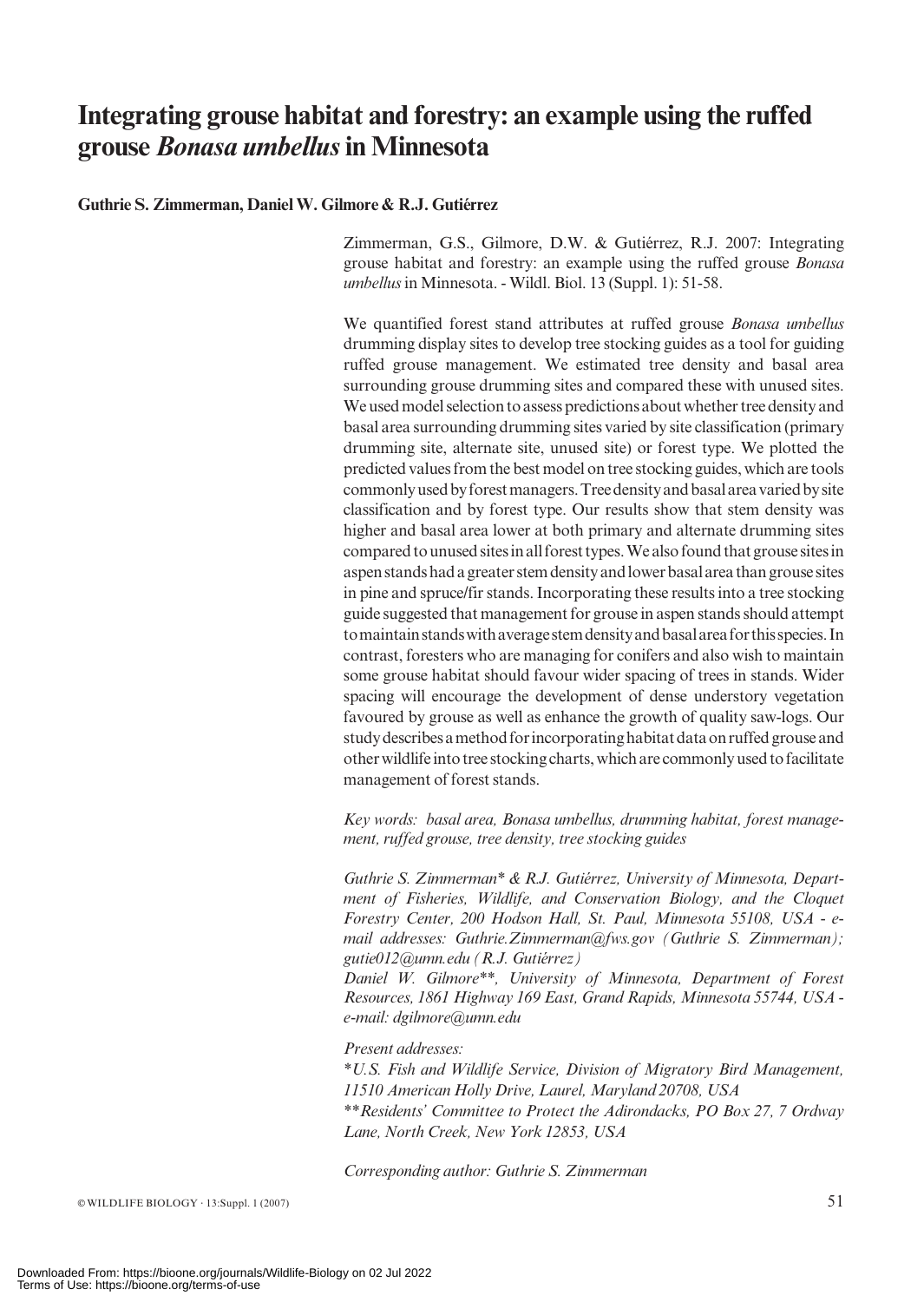# Integrating grouse habitat and forestry: an example using the ruffed grouse *Bonasa umbellus* in Minnesota

#### Guthrie S. Zimmerman, Daniel W. Gilmore & R.J. Gutiérrez

Zimmerman, G.S., Gilmore, D.W. & Gutiérrez, R.J. 2007: Integrating grouse habitat and forestry: an example using the ruffed grouse Bonasa umbellus in Minnesota. - Wildl. Biol. 13 (Suppl. 1): 51-58.

We quantified forest stand attributes at ruffed grouse Bonasa umbellus drumming display sites to develop tree stocking guides as a tool for guiding ruffed grouse management. We estimated tree density and basal area surrounding grouse drumming sites and compared these with unused sites. We used model selection to assess predictions about whether tree density and basal area surrounding drumming sites varied by site classification (primary drumming site, alternate site, unused site) or forest type. We plotted the predicted values from the best model on tree stocking guides, which are tools commonly used by forest managers. Tree density and basal area varied by site classification and by forest type. Our results show that stem density was higher and basal area lower at both primary and alternate drumming sites compared to unused sites in all forest types. We also found that grouse sites in aspenstandshadagreaterstemdensityandlowerbasalareathangrousesites in pine and spruce/fir stands. Incorporating these results into a tree stocking guide suggested that management for grouse in aspen stands should attempt tomaintainstandswithaveragestemdensityandbasalareaforthisspecies.In contrast, foresters who are managing for conifers and also wish to maintain some grouse habitat should favour wider spacing of trees in stands. Wider spacing will encourage the development of dense understory vegetation favoured by grouse as well as enhance the growth of quality saw-logs. Our study describes a method for incorporating habitat data on ruffed grouse and otherwildlife into tree stockingcharts, whichare commonlyusedtofacilitate management of forest stands.

Key words: basal area, Bonasa umbellus, drumming habitat, forest management, ruffed grouse, tree density, tree stocking guides

Guthrie S. Zimmerman\* & R.J. Gutiérrez, University of Minnesota, Department of Fisheries, Wildlife, and Conservation Biology, and the Cloquet Forestry Center, 200 Hodson Hall, St. Paul, Minnesota 55108, USA - email addresses: Guthrie.Zimmerman@fws.gov (Guthrie S. Zimmerman);  $gutiel$  $12$ @umn.edu (R.J. Gutiérrez)

Daniel W. Gilmore\*\*, University of Minnesota, Department of Forest Resources, 1861 Highway 169 East, Grand Rapids, Minnesota 55744, USA e-mail: dgilmore@umn.edu

#### Present addresses:

\*U.S. Fish and Wildlife Service, Division of Migratory Bird Management, 11510 American Holly Drive, Laurel, Maryland 20708, USA

\*\*Residents' Committee to Protect the Adirondacks, PO Box 27, 7 Ordway Lane, North Creek, New York 12853, USA

Corresponding author: Guthrie S. Zimmerman

 $\circ$  WILDLIFE BIOLOGY  $\cdot$  13:Suppl. 1 (2007) 51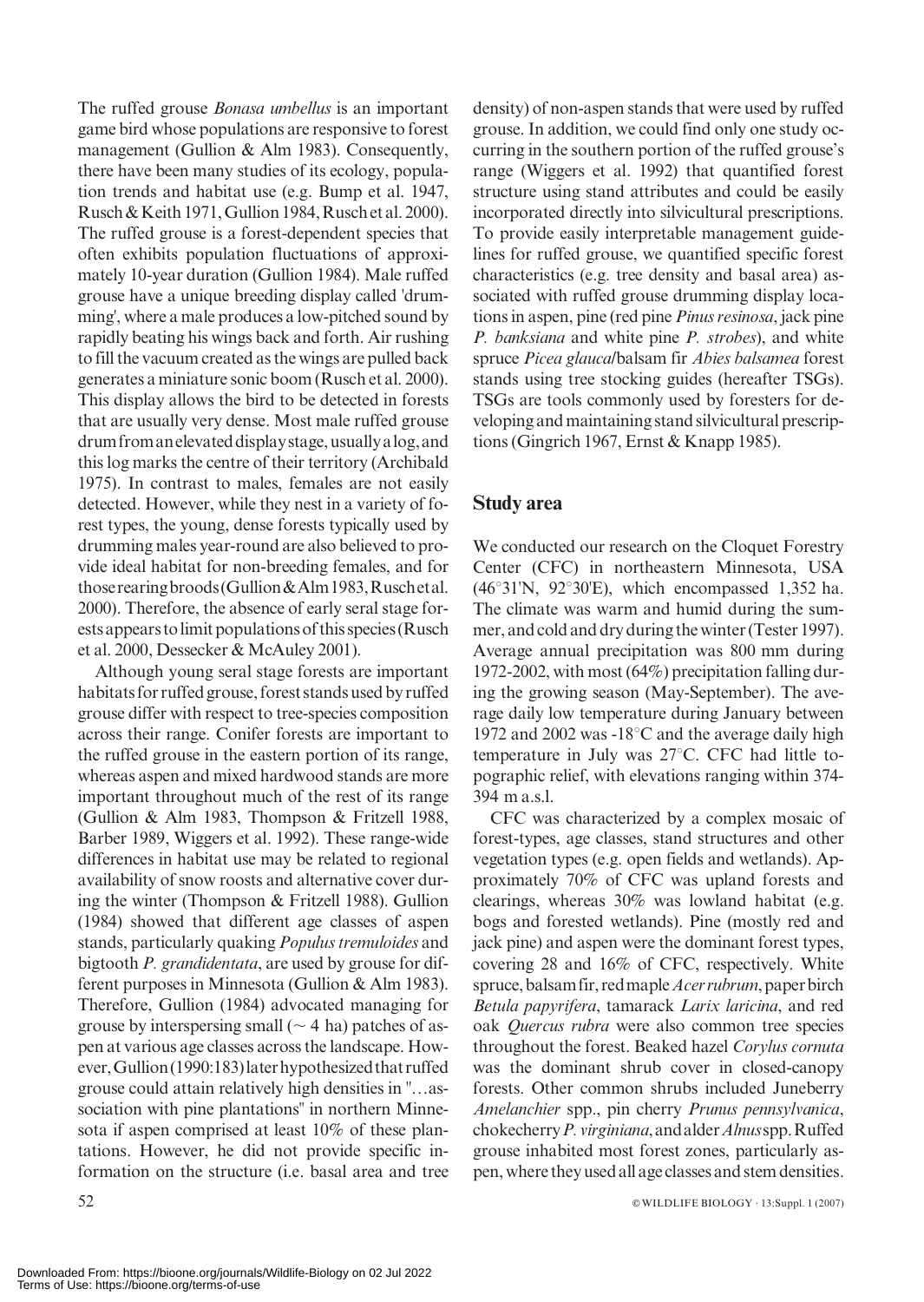The ruffed grouse *Bonasa umbellus* is an important game bird whose populations are responsive to forest management (Gullion & Alm 1983). Consequently, there have been many studies of its ecology, population trends and habitat use (e.g. Bump et al. 1947, Rusch & Keith 1971, Gullion 1984,Ruschet al. 2000). The ruffed grouse is a forest-dependent species that often exhibits population fluctuations of approximately 10-year duration (Gullion 1984). Male ruffed grouse have a unique breeding display called 'drumming', where a male produces a low-pitched sound by rapidly beating his wings back and forth. Air rushing to fill the vacuum created as the wings are pulled back generates a miniature sonic boom (Rusch et al. 2000). This display allows the bird to be detected in forests that are usually very dense. Most male ruffed grouse drum from an elevated display stage, usually a log, and this log marks the centre of their territory (Archibald 1975). In contrast to males, females are not easily detected. However, while they nest in a variety of forest types, the young, dense forests typically used by drumming males year-round are also believed to provide ideal habitat for non-breeding females, and for thoserearingbroods(Gullion&Alm1983,Ruschetal. 2000). Therefore, the absence of early seral stage forests appears to limit populations of this species (Rusch et al. 2000, Dessecker & McAuley 2001).

Although young seral stage forests are important habitats for ruffed grouse, forest stands used by ruffed grouse differ with respect to tree-species composition across their range. Conifer forests are important to the ruffed grouse in the eastern portion of its range, whereas aspen and mixed hardwood stands are more important throughout much of the rest of its range (Gullion & Alm 1983, Thompson & Fritzell 1988, Barber 1989, Wiggers et al. 1992). These range-wide differences in habitat use may be related to regional availability of snow roosts and alternative cover during the winter (Thompson & Fritzell 1988). Gullion (1984) showed that different age classes of aspen stands, particularly quaking Populus tremuloides and bigtooth P. grandidentata, are used by grouse for different purposes in Minnesota (Gullion & Alm 1983). Therefore, Gullion (1984) advocated managing for grouse by interspersing small ( $\sim$  4 ha) patches of aspen at various age classes across the landscape. However,Gullion(1990:183)laterhypothesizedthatruffed grouse could attain relatively high densities in ''…association with pine plantations'' in northern Minnesota if aspen comprised at least 10% of these plantations. However, he did not provide specific information on the structure (i.e. basal area and tree

density) of non-aspen stands that were used by ruffed grouse. In addition, we could find only one study occurring in the southern portion of the ruffed grouse's range (Wiggers et al. 1992) that quantified forest structure using stand attributes and could be easily incorporated directly into silvicultural prescriptions. To provide easily interpretable management guidelines for ruffed grouse, we quantified specific forest characteristics (e.g. tree density and basal area) associated with ruffed grouse drumming display locations in aspen, pine (red pine Pinus resinosa, jack pine P. banksiana and white pine P. strobes), and white spruce Picea glauca/balsam fir Abies balsamea forest stands using tree stocking guides (hereafter TSGs). TSGs are tools commonly used by foresters for developing and maintaining stand silvicultural prescriptions (Gingrich 1967, Ernst & Knapp 1985).

# Study area

We conducted our research on the Cloquet Forestry Center (CFC) in northeastern Minnesota, USA (46°31'N, 92°30'E), which encompassed 1,352 ha. The climate was warm and humid during the summer, and cold and dry during the winter (Tester 1997). Average annual precipitation was 800 mm during 1972-2002, with most (64%) precipitation falling during the growing season (May-September). The average daily low temperature during January between 1972 and 2002 was  $-18^{\circ}$ C and the average daily high temperature in July was  $27^{\circ}$ C. CFC had little topographic relief, with elevations ranging within 374- 394 m a.s.l.

CFC was characterized by a complex mosaic of forest-types, age classes, stand structures and other vegetation types (e.g. open fields and wetlands). Approximately 70% of CFC was upland forests and clearings, whereas 30% was lowland habitat (e.g. bogs and forested wetlands). Pine (mostly red and jack pine) and aspen were the dominant forest types, covering 28 and 16% of CFC, respectively. White spruce, balsam fir, red maple *Acer rubrum*, paper birch Betula papyrifera, tamarack Larix laricina, and red oak Quercus rubra were also common tree species throughout the forest. Beaked hazel Corylus cornuta was the dominant shrub cover in closed-canopy forests. Other common shrubs included Juneberry Amelanchier spp., pin cherry Prunus pennsylvanica, chokecherryP.virginiana,andalderAlnusspp.Ruffed grouse inhabited most forest zones, particularly aspen, where theyusedall age classes and stem densities.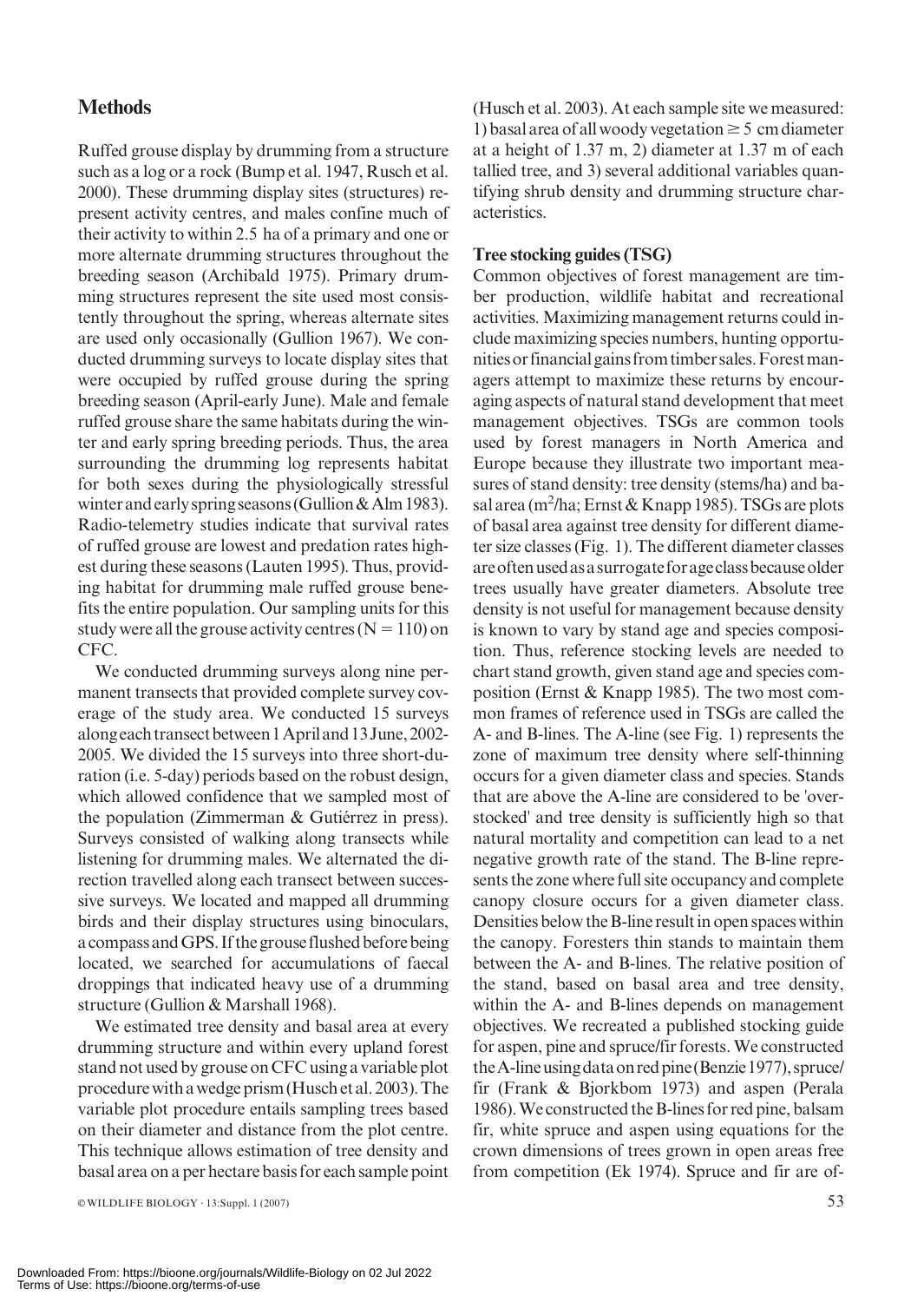# **Methods**

Ruffed grouse display by drumming from a structure such as a log or a rock (Bump et al. 1947, Rusch et al. 2000). These drumming display sites (structures) represent activity centres, and males confine much of their activity to within 2.5 ha of a primary and one or more alternate drumming structures throughout the breeding season (Archibald 1975). Primary drumming structures represent the site used most consistently throughout the spring, whereas alternate sites are used only occasionally (Gullion 1967). We conducted drumming surveys to locate display sites that were occupied by ruffed grouse during the spring breeding season (April-early June). Male and female ruffed grouse share the same habitats during the winter and early spring breeding periods. Thus, the area surrounding the drumming log represents habitat for both sexes during the physiologically stressful winter and early spring seasons (Gullion & Alm 1983). Radio-telemetry studies indicate that survival rates of ruffed grouse are lowest and predation rates highest during these seasons (Lauten 1995). Thus, providing habitat for drumming male ruffed grouse benefits the entire population. Our sampling units for this study were all the grouse activity centres  $(N = 110)$  on CFC.

We conducted drumming surveys along nine permanent transects that provided complete survey coverage of the study area. We conducted 15 surveys alongeachtransectbetween1Apriland13June,2002- 2005. We divided the 15 surveys into three short-duration (i.e. 5-day) periods based on the robust design, which allowed confidence that we sampled most of the population (Zimmerman  $&$  Gutiérrez in press). Surveys consisted of walking along transects while listening for drumming males. We alternated the direction travelled along each transect between successive surveys. We located and mapped all drumming birds and their display structures using binoculars, a compass and GPS. If the grouse flushed before being located, we searched for accumulations of faecal droppings that indicated heavy use of a drumming structure (Gullion & Marshall 1968).

We estimated tree density and basal area at every drumming structure and within every upland forest stand not usedby grouse on CFC using a variable plot procedure withawedge prism(Husch etal.2003).The variable plot procedure entails sampling trees based on their diameter and distance from the plot centre. This technique allows estimation of tree density and basal area on a per hectare basis for each sample point (Husch et al. 2003). At each sample site we measured: 1) basal area of all woody vegetation  $\geq$  5 cm diameter at a height of 1.37 m, 2) diameter at 1.37 m of each tallied tree, and 3) several additional variables quantifying shrub density and drumming structure characteristics.

#### Tree stocking guides (TSG)

Common objectives of forest management are timber production, wildlife habitat and recreational activities. Maximizing management returns could include maximizing species numbers, hunting opportunitiesorfinancialgainsfromtimbersales.Forestmanagers attempt to maximize these returns by encouraging aspects of natural stand development that meet management objectives. TSGs are common tools used by forest managers in North America and Europe because they illustrate two important measures of stand density: tree density (stems/ha) and basal area (m $^2$ /ha; Ernst & Knapp 1985). TSGs are plots of basal area against tree density for different diameter size classes (Fig. 1). The different diameter classes areoftenusedasasurrogateforageclassbecauseolder trees usually have greater diameters. Absolute tree density is not useful for management because density is known to vary by stand age and species composition. Thus, reference stocking levels are needed to chart stand growth, given stand age and species composition (Ernst & Knapp 1985). The two most common frames of reference used in TSGs are called the A- and B-lines. The A-line (see Fig. 1) represents the zone of maximum tree density where self-thinning occurs for a given diameter class and species. Stands that are above the A-line are considered to be 'overstocked' and tree density is sufficiently high so that natural mortality and competition can lead to a net negative growth rate of the stand. The B-line represents the zone where full site occupancy and complete canopy closure occurs for a given diameter class. Densities below the B-line result in open spaces within the canopy. Foresters thin stands to maintain them between the A- and B-lines. The relative position of the stand, based on basal area and tree density, within the A- and B-lines depends on management objectives. We recreated a published stocking guide for aspen, pine and spruce/fir forests. We constructed the A-line using data on red pine (Benzie 1977), spruce/ fir (Frank & Bjorkbom 1973) and aspen (Perala 1986). We constructed the B-lines for red pine, balsam fir, white spruce and aspen using equations for the crown dimensions of trees grown in open areas free from competition (Ek 1974). Spruce and fir are of-

 $\infty$  WILDLIFE BIOLOGY · 13:Suppl. 1 (2007) 53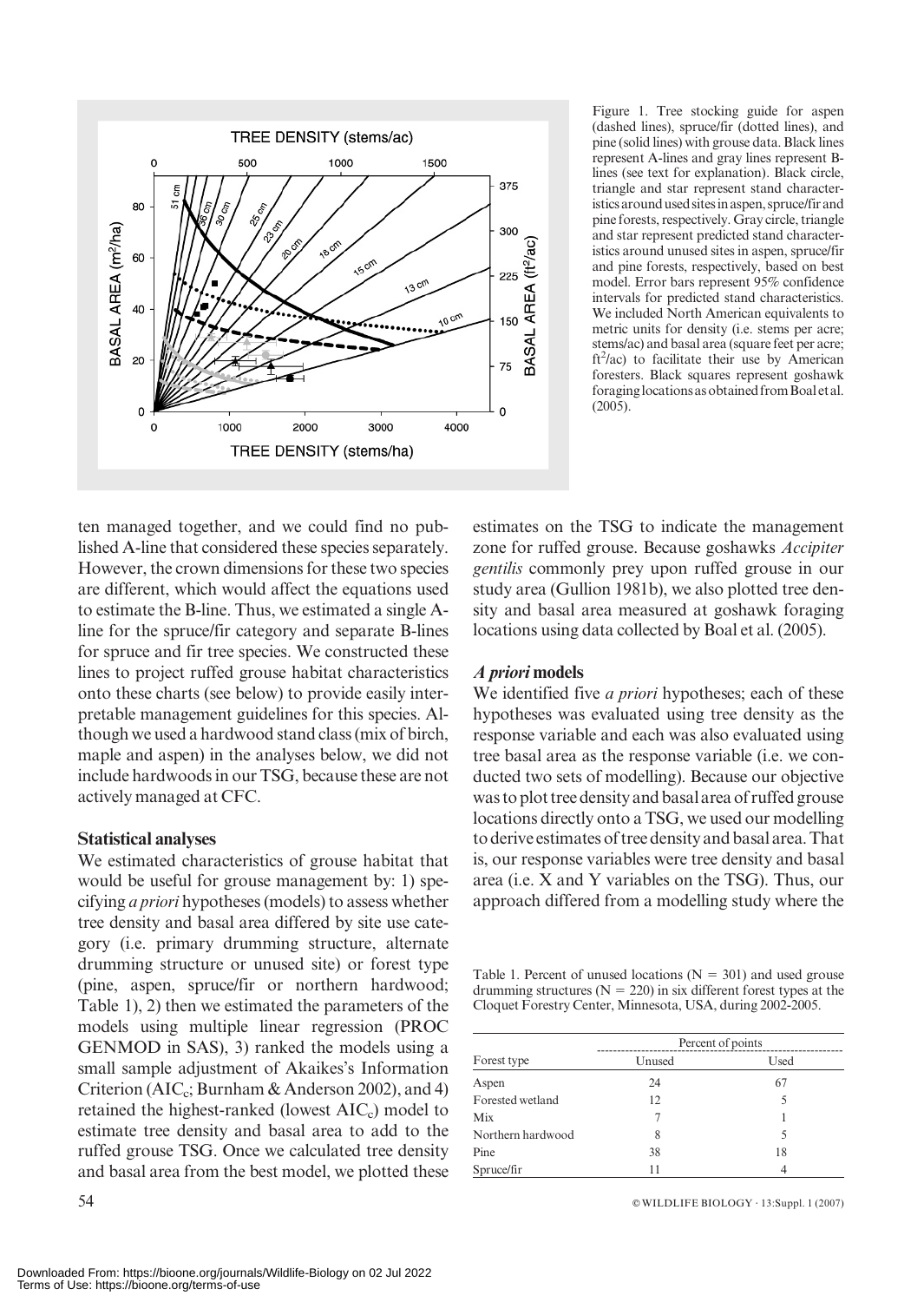

Figure 1. Tree stocking guide for aspen (dashed lines), spruce/fir (dotted lines), and pine (solid lines) with grouse data. Black lines represent A-lines and gray lines represent Blines (see text for explanation). Black circle, triangle and star represent stand characteristicsaroundusedsitesinaspen,spruce/firand pine forests, respectively. Gray circle, triangle and star represent predicted stand characteristics around unused sites in aspen, spruce/fir and pine forests, respectively, based on best model. Error bars represent 95% confidence intervals for predicted stand characteristics. We included North American equivalents to metric units for density (i.e. stems per acre; stems/ac) and basal area (square feet per acre;  $ft<sup>2</sup>/ac$ ) to facilitate their use by American foresters. Black squares represent goshawk foraginglocationsasobtainedfromBoaletal. (2005).

ten managed together, and we could find no published A-line that considered these species separately. However, the crown dimensions for these two species are different, which would affect the equations used to estimate the B-line. Thus, we estimated a single Aline for the spruce/fir category and separate B-lines for spruce and fir tree species. We constructed these lines to project ruffed grouse habitat characteristics onto these charts (see below) to provide easily interpretable management guidelines for this species. Although we used a hardwood stand class (mix of birch, maple and aspen) in the analyses below, we did not include hardwoods in our TSG, because these are not actively managed at CFC.

#### Statistical analyses

We estimated characteristics of grouse habitat that would be useful for grouse management by: 1) specifying a priori hypotheses (models) to assess whether tree density and basal area differed by site use category (i.e. primary drumming structure, alternate drumming structure or unused site) or forest type (pine, aspen, spruce/fir or northern hardwood; Table 1), 2) then we estimated the parameters of the models using multiple linear regression (PROC GENMOD in SAS), 3) ranked the models using a small sample adjustment of Akaikes's Information Criterion (AIC<sub>c</sub>; Burnham & Anderson 2002), and 4) retained the highest-ranked (lowest  $AIC<sub>c</sub>$ ) model to estimate tree density and basal area to add to the ruffed grouse TSG. Once we calculated tree density and basal area from the best model, we plotted these estimates on the TSG to indicate the management zone for ruffed grouse. Because goshawks Accipiter gentilis commonly prey upon ruffed grouse in our study area (Gullion 1981b), we also plotted tree density and basal area measured at goshawk foraging locations using data collected by Boal et al. (2005).

## A priori models

We identified five *a priori* hypotheses; each of these hypotheses was evaluated using tree density as the response variable and each was also evaluated using tree basal area as the response variable (i.e. we conducted two sets of modelling). Because our objective was to plot tree density and basalarea of ruffed grouse locations directly onto a TSG, we used our modelling to derive estimates of tree density and basal area. That is, our response variables were tree density and basal area (i.e. X and Y variables on the TSG). Thus, our approach differed from a modelling study where the

Table 1. Percent of unused locations ( $N = 301$ ) and used grouse drumming structures ( $N = 220$ ) in six different forest types at the Cloquet Forestry Center, Minnesota, USA, during 2002-2005.

|                   | Percent of points |      |  |  |
|-------------------|-------------------|------|--|--|
| Forest type       | Unused            | Used |  |  |
| Aspen             | 24                | 67   |  |  |
| Forested wetland  | 12                |      |  |  |
| Mix               |                   |      |  |  |
| Northern hardwood | 8                 |      |  |  |
| Pine              | 38                | 18   |  |  |
| Spruce/fir        | 11                |      |  |  |

54 **EXECUTE:** BIOLOGY · 13:Suppl. 1 (2007)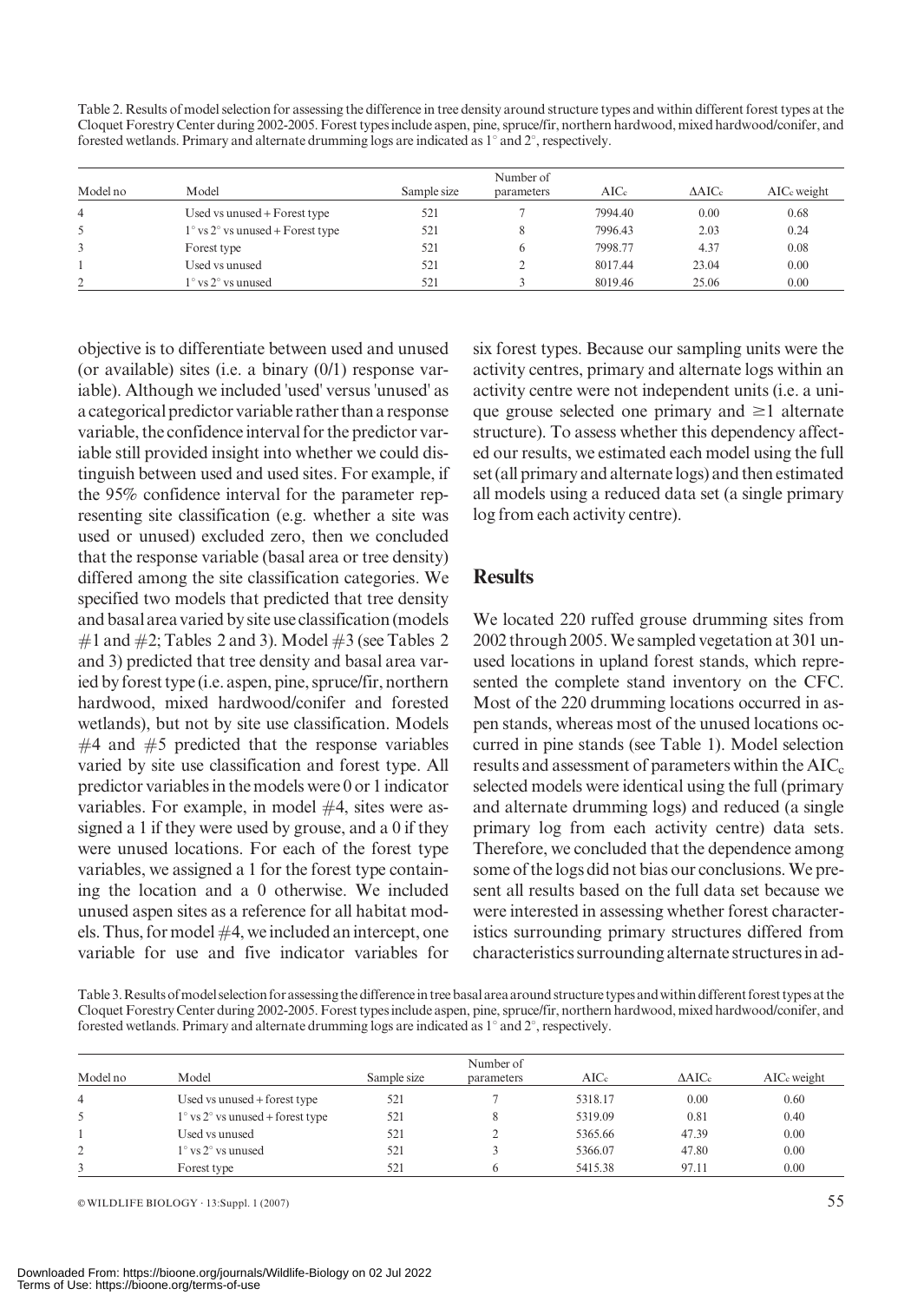Table 2. Results of model selection for assessing the difference in tree density around structure types and within different forest types at the Cloquet Forestry Center during 2002-2005. Forest types include aspen, pine, spruce/fir, northern hardwood, mixed hardwood/conifer, and forested wetlands. Primary and alternate drumming logs are indicated as  $1^{\circ}$  and  $2^{\circ}$ , respectively.

| Model no       | Model                                              | Sample size | Number of<br>parameters | $\rm AICc$ | $\Delta AICc$ | AIC <sub>c</sub> weight |
|----------------|----------------------------------------------------|-------------|-------------------------|------------|---------------|-------------------------|
| $\overline{4}$ | Used vs unused + Forest type                       | 521         |                         | 7994.40    | 0.00          | 0.68                    |
| 5              | $1^{\circ}$ vs $2^{\circ}$ vs unused + Forest type | 521         |                         | 7996.43    | 2.03          | 0.24                    |
| 3              | Forest type                                        | 521         | 6                       | 7998.77    | 4.37          | 0.08                    |
|                | Used vs unused                                     | 521         |                         | 8017.44    | 23.04         | 0.00                    |
| $\gamma$       | $1^\circ$ vs $2^\circ$ vs unused                   | 521         |                         | 8019.46    | 25.06         | 0.00                    |

objective is to differentiate between used and unused (or available) sites (i.e. a binary (0/1) response variable). Although we included 'used' versus 'unused' as a categorical predictor variable rather than a response variable, the confidence interval for the predictor variable still provided insight into whether we could distinguish between used and used sites. For example, if the 95% confidence interval for the parameter representing site classification (e.g. whether a site was used or unused) excluded zero, then we concluded that the response variable (basal area or tree density) differed among the site classification categories. We specified two models that predicted that tree density and basal area varied by site use classification (models  $\#1$  and  $\#2$ ; Tables 2 and 3). Model  $\#3$  (see Tables 2 and 3) predicted that tree density and basal area varied by forest type (i.e. aspen, pine, spruce/fir, northern hardwood, mixed hardwood/conifer and forested wetlands), but not by site use classification. Models  $#4$  and  $#5$  predicted that the response variables varied by site use classification and forest type. All predictor variables in the models were 0 or 1 indicator variables. For example, in model #4, sites were assigned a 1 if they were used by grouse, and a 0 if they were unused locations. For each of the forest type variables, we assigned a 1 for the forest type containing the location and a 0 otherwise. We included unused aspen sites as a reference for all habitat models. Thus, for model  $#4$ , we included an intercept, one variable for use and five indicator variables for six forest types. Because our sampling units were the activity centres, primary and alternate logs within an activity centre were not independent units (i.e. a unique grouse selected one primary and  $\geq 1$  alternate structure). To assess whether this dependency affected our results, we estimated each model using the full set (all primary and alternate logs) and then estimated all models using a reduced data set (a single primary log from each activity centre).

## **Results**

We located 220 ruffed grouse drumming sites from 2002 through 2005. We sampled vegetation at 301 unused locations in upland forest stands, which represented the complete stand inventory on the CFC. Most of the 220 drumming locations occurred in aspen stands, whereas most of the unused locations occurred in pine stands (see Table 1). Model selection results and assessment of parameters within the  $AIC<sub>c</sub>$ selected models were identical using the full (primary and alternate drumming logs) and reduced (a single primary log from each activity centre) data sets. Therefore, we concluded that the dependence among some of the logs did not bias our conclusions. We present all results based on the full data set because we were interested in assessing whether forest characteristics surrounding primary structures differed from characteristics surrounding alternate structuresin ad-

Table 3. Results of model selection for assessing the difference in tree basal area around structure types and within different forest types at the Cloquet Forestry Center during 2002-2005. Forest types include aspen, pine, spruce/fir, northern hardwood, mixed hardwood/conifer, and forested wetlands. Primary and alternate drumming logs are indicated as 1° and 2°, respectively.

| Model no       | Model                                          | Sample size | Number of<br>parameters | AICc    | $\triangle AICc$ | AIC <sub>c</sub> weight |
|----------------|------------------------------------------------|-------------|-------------------------|---------|------------------|-------------------------|
| $\overline{4}$ | Used vs unused + forest type                   | 521         |                         | 5318.17 | 0.00             | 0.60                    |
| 5              | $1^\circ$ vs $2^\circ$ vs unused + forest type | 521         |                         | 5319.09 | 0.81             | 0.40                    |
|                | Used vs unused                                 | 521         |                         | 5365.66 | 47.39            | 0.00                    |
| 2              | $1^\circ$ vs $2^\circ$ vs unused               | 521         |                         | 5366.07 | 47.80            | 0.00                    |
|                | Forest type                                    | 521         |                         | 5415.38 | 97.11            | 0.00                    |

 $\infty$  WILDLIFE BIOLOGY · 13:Suppl. 1 (2007) 55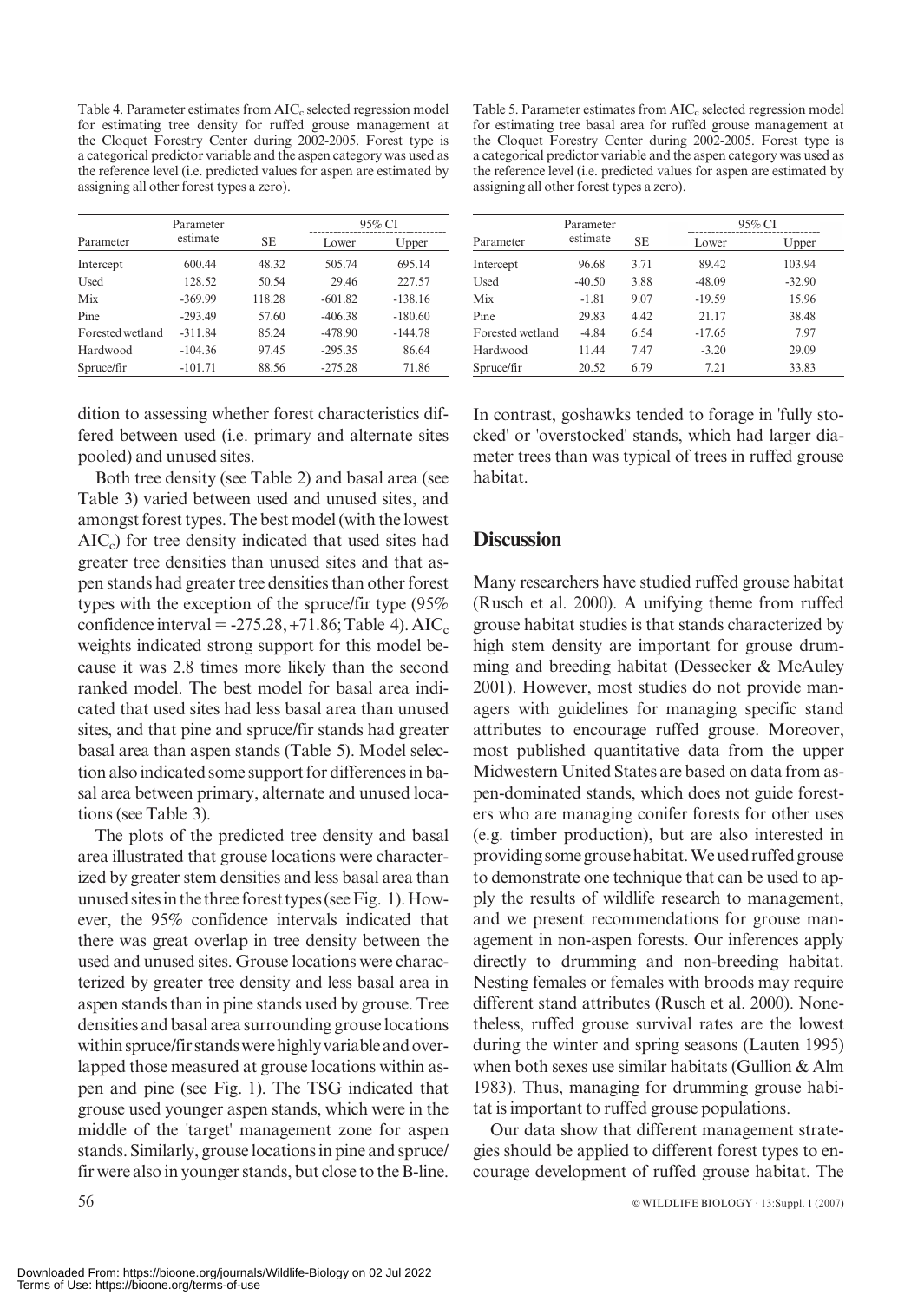Table 4. Parameter estimates from  $AIC<sub>c</sub>$  selected regression model for estimating tree density for ruffed grouse management at the Cloquet Forestry Center during 2002-2005. Forest type is a categorical predictor variable and the aspen category was used as the reference level (i.e. predicted values for aspen are estimated by assigning all other forest types a zero).

|                  | Parameter |        |           | 95% CI    |
|------------------|-----------|--------|-----------|-----------|
| Parameter        | estimate  | SЕ     | Lower     | Upper     |
| Intercept        | 600.44    | 48.32  | 505.74    | 695.14    |
| Used             | 128.52    | 50.54  | 29.46     | 227.57    |
| Mix              | $-369.99$ | 118.28 | $-601.82$ | $-138.16$ |
| Pine             | $-293.49$ | 57.60  | $-406.38$ | $-180.60$ |
| Forested wetland | $-311.84$ | 85.24  | $-478.90$ | $-144.78$ |
| Hardwood         | $-104.36$ | 97.45  | $-295.35$ | 86.64     |
| Spruce/fir       | $-101.71$ | 88.56  | $-275.28$ | 71.86     |

dition to assessing whether forest characteristics differed between used (i.e. primary and alternate sites pooled) and unused sites.

Both tree density (see Table 2) and basal area (see Table 3) varied between used and unused sites, and amongst forest types. The best model (with the lowest  $AIC<sub>c</sub>$ ) for tree density indicated that used sites had greater tree densities than unused sites and that aspen stands had greater tree densities than other forest types with the exception of the spruce/fir type (95% confidence interval =  $-275.28, +71.86$ ; Table 4). AIC<sub>c</sub> weights indicated strong support for this model because it was 2.8 times more likely than the second ranked model. The best model for basal area indicated that used sites had less basal area than unused sites, and that pine and spruce/fir stands had greater basal area than aspen stands (Table 5). Model selection also indicated some support for differences in basal area between primary, alternate and unused locations (see Table 3).

The plots of the predicted tree density and basal area illustrated that grouse locations were characterized by greater stem densities and less basal area than unusedsitesinthethreeforesttypes(seeFig. 1).However, the 95% confidence intervals indicated that there was great overlap in tree density between the used and unused sites. Grouse locations were characterized by greater tree density and less basal area in aspen stands than in pine stands used by grouse. Tree densities and basal area surrounding grouse locations within spruce/fir stands were highly variable and overlapped those measured at grouse locations within aspen and pine (see Fig. 1). The TSG indicated that grouse used younger aspen stands, which were in the middle of the 'target' management zone for aspen stands. Similarly, grouse locations in pine and spruce/ fir were also in younger stands, but close to the B-line.

Table 5. Parameter estimates from AIC<sub>c</sub> selected regression model for estimating tree basal area for ruffed grouse management at the Cloquet Forestry Center during 2002-2005. Forest type is a categorical predictor variable and the aspen category was used as the reference level (i.e. predicted values for aspen are estimated by assigning all other forest types a zero).

| Parameter        |          |      | 95% CI   |          |  |
|------------------|----------|------|----------|----------|--|
| Parameter        | estimate | SЕ   | Lower    | Upper    |  |
| Intercept        | 96.68    | 3.71 | 89.42    | 103.94   |  |
| Used             | $-40.50$ | 3.88 | $-48.09$ | $-32.90$ |  |
| Mix              | $-1.81$  | 9.07 | $-19.59$ | 15.96    |  |
| Pine             | 29.83    | 4.42 | 21.17    | 38.48    |  |
| Forested wetland | $-4.84$  | 6.54 | $-17.65$ | 7.97     |  |
| Hardwood         | 11.44    | 7.47 | $-3.20$  | 29.09    |  |
| Spruce/fir       | 20.52    | 6.79 | 7.21     | 33.83    |  |

In contrast, goshawks tended to forage in 'fully stocked' or 'overstocked' stands, which had larger diameter trees than was typical of trees in ruffed grouse habitat.

#### **Discussion**

Many researchers have studied ruffed grouse habitat (Rusch et al. 2000). A unifying theme from ruffed grouse habitat studies is that stands characterized by high stem density are important for grouse drumming and breeding habitat (Dessecker & McAuley 2001). However, most studies do not provide managers with guidelines for managing specific stand attributes to encourage ruffed grouse. Moreover, most published quantitative data from the upper Midwestern United States are based on data from aspen-dominated stands, which does not guide foresters who are managing conifer forests for other uses (e.g. timber production), but are also interested in providingsomegrousehabitat.Weusedruffedgrouse to demonstrate one technique that can be used to apply the results of wildlife research to management, and we present recommendations for grouse management in non-aspen forests. Our inferences apply directly to drumming and non-breeding habitat. Nesting females or females with broods may require different stand attributes (Rusch et al. 2000). Nonetheless, ruffed grouse survival rates are the lowest during the winter and spring seasons (Lauten 1995) when both sexes use similar habitats (Gullion & Alm 1983). Thus, managing for drumming grouse habitat is important to ruffed grouse populations.

Our data show that different management strategies should be applied to different forest types to encourage development of ruffed grouse habitat. The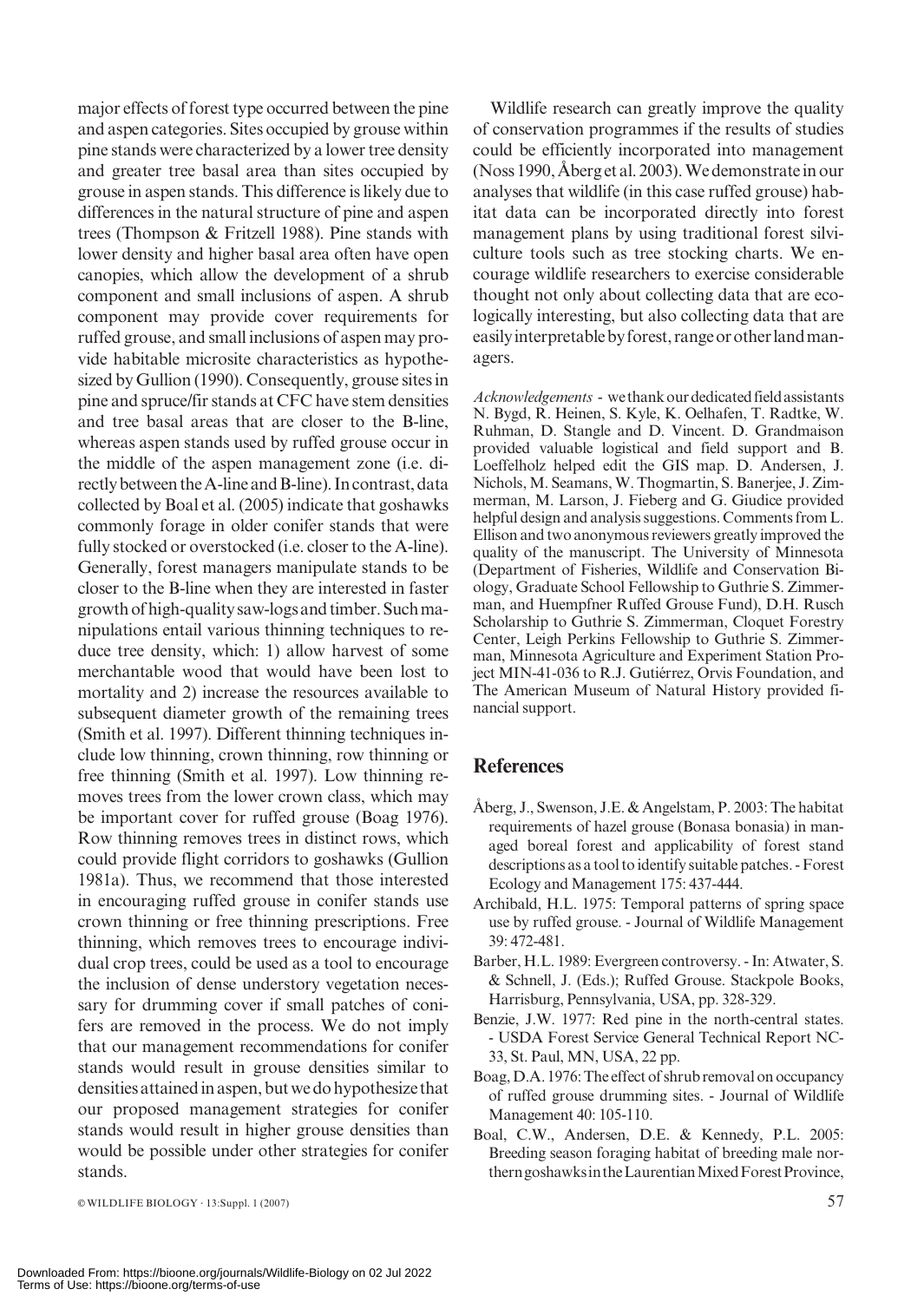major effects of forest type occurred between the pine and aspen categories. Sites occupied by grouse within pine stands were characterized by a lower tree density and greater tree basal area than sites occupied by grouse in aspen stands. This difference is likely due to differences in the natural structure of pine and aspen trees (Thompson & Fritzell 1988). Pine stands with lower density and higher basal area often have open canopies, which allow the development of a shrub component and small inclusions of aspen. A shrub component may provide cover requirements for ruffed grouse, and small inclusions of aspen may provide habitable microsite characteristics as hypothesized by Gullion (1990). Consequently, grouse sites in pine and spruce/fir stands at CFC have stem densities and tree basal areas that are closer to the B-line, whereas aspen stands used by ruffed grouse occur in the middle of the aspen management zone (i.e. directly between the A-line and B-line). In contrast, data collected by Boal et al. (2005) indicate that goshawks commonly forage in older conifer stands that were fully stocked or overstocked (i.e. closer to the A-line). Generally, forest managers manipulate stands to be closer to the B-line when they are interested in faster growthofhigh-qualitysaw-logsandtimber.Suchmanipulations entail various thinning techniques to reduce tree density, which: 1) allow harvest of some merchantable wood that would have been lost to mortality and 2) increase the resources available to subsequent diameter growth of the remaining trees (Smith et al. 1997). Different thinning techniques include low thinning, crown thinning, row thinning or free thinning (Smith et al. 1997). Low thinning removes trees from the lower crown class, which may be important cover for ruffed grouse (Boag 1976). Row thinning removes trees in distinct rows, which could provide flight corridors to goshawks (Gullion 1981a). Thus, we recommend that those interested in encouraging ruffed grouse in conifer stands use crown thinning or free thinning prescriptions. Free thinning, which removes trees to encourage individual crop trees, could be used as a tool to encourage the inclusion of dense understory vegetation necessary for drumming cover if small patches of conifers are removed in the process. We do not imply that our management recommendations for conifer stands would result in grouse densities similar to densities attained in aspen, but we do hypothesize that our proposed management strategies for conifer stands would result in higher grouse densities than would be possible under other strategies for conifer stands.

Wildlife research can greatly improve the quality of conservation programmes if the results of studies could be efficiently incorporated into management (Noss 1990, Åberg et al. 2003). We demonstrate in our analyses that wildlife (in this case ruffed grouse) habitat data can be incorporated directly into forest management plans by using traditional forest silviculture tools such as tree stocking charts. We encourage wildlife researchers to exercise considerable thought not only about collecting data that are ecologically interesting, but also collecting data that are easily interpretable by forest, range or other land managers.

Acknowledgements - we thank our dedicated field assistants N. Bygd, R. Heinen, S. Kyle, K. Oelhafen, T. Radtke, W. Ruhman, D. Stangle and D. Vincent. D. Grandmaison provided valuable logistical and field support and B. Loeffelholz helped edit the GIS map. D. Andersen, J. Nichols, M. Seamans, W. Thogmartin, S. Banerjee, J. Zimmerman, M. Larson, J. Fieberg and G. Giudice provided helpful design and analysis suggestions. Comments from L. Ellison and two anonymous reviewers greatly improved the quality of the manuscript. The University of Minnesota (Department of Fisheries, Wildlife and Conservation Biology, Graduate School Fellowship to Guthrie S. Zimmerman, and Huempfner Ruffed Grouse Fund), D.H. Rusch Scholarship to Guthrie S. Zimmerman, Cloquet Forestry Center, Leigh Perkins Fellowship to Guthrie S. Zimmerman, Minnesota Agriculture and Experiment Station Project MIN-41-036 to R.J. Gutiérrez, Orvis Foundation, and The American Museum of Natural History provided financial support.

# **References**

- Åberg, J., Swenson, J.E.  $&$  Angelstam, P. 2003: The habitat requirements of hazel grouse (Bonasa bonasia) in managed boreal forest and applicability of forest stand descriptions as a tool to identify suitable patches. - Forest Ecology and Management 175: 437-444.
- Archibald, H.L. 1975: Temporal patterns of spring space use by ruffed grouse. - Journal of Wildlife Management 39: 472-481.
- Barber, H.L. 1989: Evergreen controversy. In: Atwater, S. & Schnell, J. (Eds.); Ruffed Grouse. Stackpole Books, Harrisburg, Pennsylvania, USA, pp. 328-329.
- Benzie, J.W. 1977: Red pine in the north-central states. - USDA Forest Service General Technical Report NC-33, St. Paul, MN, USA, 22 pp.
- Boag, D.A.1976: The effect of shrub removal on occupancy of ruffed grouse drumming sites. - Journal of Wildlife Management 40: 105-110.
- Boal, C.W., Andersen, D.E. & Kennedy, P.L. 2005: Breeding season foraging habitat of breeding male northerngoshawksintheLaurentianMixedForestProvince,

 $\infty$  WILDLIFE BIOLOGY · 13:Suppl. 1 (2007) 57